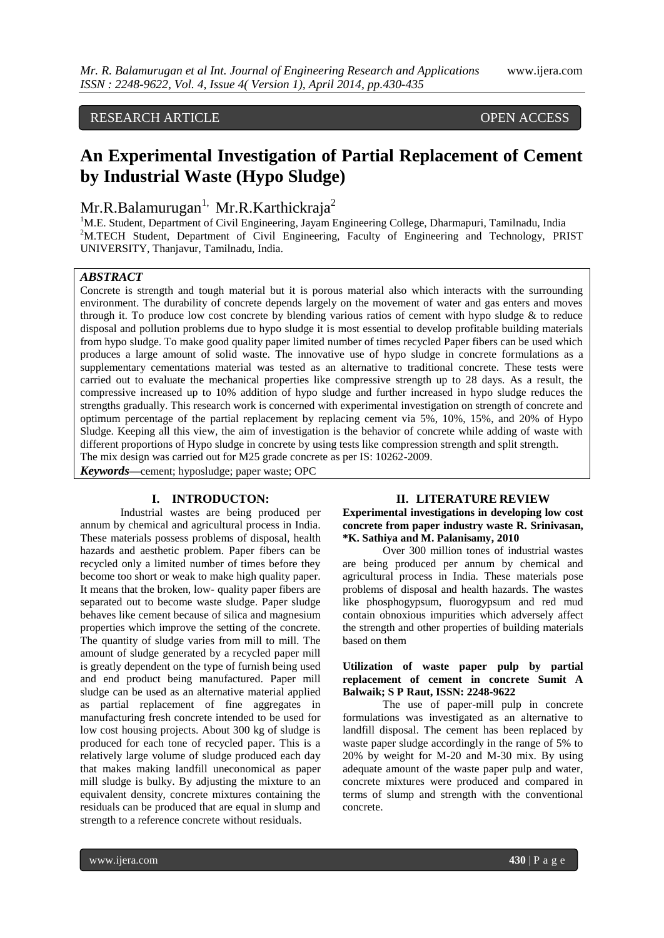# RESEARCH ARTICLE OPEN ACCESS

# **An Experimental Investigation of Partial Replacement of Cement by Industrial Waste (Hypo Sludge)**

# $Mr.R.Balamurugan<sup>1</sup>, Mr.R.Karthickraja<sup>2</sup>$

<sup>1</sup>M.E. Student, Department of Civil Engineering, Jayam Engineering College, Dharmapuri, Tamilnadu, India <sup>2</sup>M.TECH Student, Department of Civil Engineering, Faculty of Engineering and Technology, PRIST UNIVERSITY, Thanjavur, Tamilnadu, India.

#### *ABSTRACT*

Concrete is strength and tough material but it is porous material also which interacts with the surrounding environment. The durability of concrete depends largely on the movement of water and gas enters and moves through it. To produce low cost concrete by blending various ratios of cement with hypo sludge  $\&$  to reduce disposal and pollution problems due to hypo sludge it is most essential to develop profitable building materials from hypo sludge. To make good quality paper limited number of times recycled Paper fibers can be used which produces a large amount of solid waste. The innovative use of hypo sludge in concrete formulations as a supplementary cementations material was tested as an alternative to traditional concrete. These tests were carried out to evaluate the mechanical properties like compressive strength up to 28 days. As a result, the compressive increased up to 10% addition of hypo sludge and further increased in hypo sludge reduces the strengths gradually. This research work is concerned with experimental investigation on strength of concrete and optimum percentage of the partial replacement by replacing cement via 5%, 10%, 15%, and 20% of Hypo Sludge. Keeping all this view, the aim of investigation is the behavior of concrete while adding of waste with different proportions of Hypo sludge in concrete by using tests like compression strength and split strength. The mix design was carried out for M25 grade concrete as per IS: 10262-2009.

*Keywords***—**cement; hyposludge; paper waste; OPC

#### **I. INTRODUCTON:**

Industrial wastes are being produced per annum by chemical and agricultural process in India. These materials possess problems of disposal, health hazards and aesthetic problem. Paper fibers can be recycled only a limited number of times before they become too short or weak to make high quality paper. It means that the broken, low- quality paper fibers are separated out to become waste sludge. Paper sludge behaves like cement because of silica and magnesium properties which improve the setting of the concrete. The quantity of sludge varies from mill to mill. The amount of sludge generated by a recycled paper mill is greatly dependent on the type of furnish being used and end product being manufactured. Paper mill sludge can be used as an alternative material applied as partial replacement of fine aggregates in manufacturing fresh concrete intended to be used for low cost housing projects. About 300 kg of sludge is produced for each tone of recycled paper. This is a relatively large volume of sludge produced each day that makes making landfill uneconomical as paper mill sludge is bulky. By adjusting the mixture to an equivalent density, concrete mixtures containing the residuals can be produced that are equal in slump and strength to a reference concrete without residuals.

#### **II. LITERATURE REVIEW**

#### **Experimental investigations in developing low cost concrete from paper industry waste R. Srinivasan, \*K. Sathiya and M. Palanisamy, 2010**

Over 300 million tones of industrial wastes are being produced per annum by chemical and agricultural process in India. These materials pose problems of disposal and health hazards. The wastes like phosphogypsum, fluorogypsum and red mud contain obnoxious impurities which adversely affect the strength and other properties of building materials based on them

### **Utilization of waste paper pulp by partial replacement of cement in concrete Sumit A Balwaik; S P Raut, ISSN: 2248-9622**

The use of paper-mill pulp in concrete formulations was investigated as an alternative to landfill disposal. The cement has been replaced by waste paper sludge accordingly in the range of 5% to 20% by weight for M-20 and M-30 mix. By using adequate amount of the waste paper pulp and water, concrete mixtures were produced and compared in terms of slump and strength with the conventional concrete.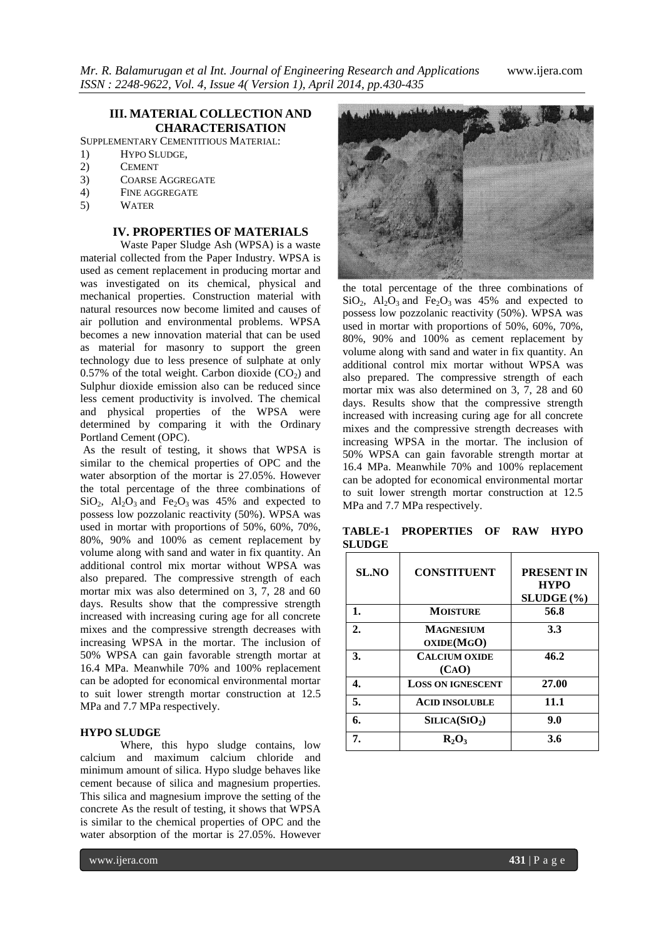## **III. MATERIAL COLLECTION AND CHARACTERISATION**

SUPPLEMENTARY CEMENTITIOUS MATERIAL:

- 1) HYPO SLUDGE,
- 2) CEMENT
- 3) COARSE AGGREGATE
- 4) FINE AGGREGATE
- 5) WATER

### **IV. PROPERTIES OF MATERIALS**

Waste Paper Sludge Ash (WPSA) is a waste material collected from the Paper Industry. WPSA is used as cement replacement in producing mortar and was investigated on its chemical, physical and mechanical properties. Construction material with natural resources now become limited and causes of air pollution and environmental problems. WPSA becomes a new innovation material that can be used as material for masonry to support the green technology due to less presence of sulphate at only 0.57% of the total weight. Carbon dioxide  $(CO<sub>2</sub>)$  and Sulphur dioxide emission also can be reduced since less cement productivity is involved. The chemical and physical properties of the WPSA were determined by comparing it with the Ordinary Portland Cement (OPC).

As the result of testing, it shows that WPSA is similar to the chemical properties of OPC and the water absorption of the mortar is 27.05%. However the total percentage of the three combinations of  $SiO<sub>2</sub>$ ,  $Al<sub>2</sub>O<sub>3</sub>$  and Fe<sub>2</sub>O<sub>3</sub> was 45% and expected to possess low pozzolanic reactivity (50%). WPSA was used in mortar with proportions of 50%, 60%, 70%, 80%, 90% and 100% as cement replacement by volume along with sand and water in fix quantity. An additional control mix mortar without WPSA was also prepared. The compressive strength of each mortar mix was also determined on 3, 7, 28 and 60 days. Results show that the compressive strength increased with increasing curing age for all concrete mixes and the compressive strength decreases with increasing WPSA in the mortar. The inclusion of 50% WPSA can gain favorable strength mortar at 16.4 MPa. Meanwhile 70% and 100% replacement can be adopted for economical environmental mortar to suit lower strength mortar construction at 12.5 MPa and 7.7 MPa respectively.

#### **HYPO SLUDGE**

Where, this hypo sludge contains, low calcium and maximum calcium chloride and minimum amount of silica. Hypo sludge behaves like cement because of silica and magnesium properties. This silica and magnesium improve the setting of the concrete As the result of testing, it shows that WPSA is similar to the chemical properties of OPC and the water absorption of the mortar is 27.05%. However



the total percentage of the three combinations of  $SiO_2$ ,  $Al_2O_3$  and  $Fe_2O_3$  was 45% and expected to possess low pozzolanic reactivity (50%). WPSA was used in mortar with proportions of 50%, 60%, 70%, 80%, 90% and 100% as cement replacement by volume along with sand and water in fix quantity. An additional control mix mortar without WPSA was also prepared. The compressive strength of each mortar mix was also determined on 3, 7, 28 and 60 days. Results show that the compressive strength increased with increasing curing age for all concrete mixes and the compressive strength decreases with increasing WPSA in the mortar. The inclusion of 50% WPSA can gain favorable strength mortar at 16.4 MPa. Meanwhile 70% and 100% replacement can be adopted for economical environmental mortar to suit lower strength mortar construction at 12.5 MPa and 7.7 MPa respectively.

| <b>SL.NO</b> | <b>CONSTITUENT</b>            | <b>PRESENT IN</b><br><b>HYPO</b><br>$SLUDGE$ $%$ |
|--------------|-------------------------------|--------------------------------------------------|
| 1.           | <b>MOISTURE</b>               | 56.8                                             |
| 2.           | MAGNESIUM<br>OXIDE(MGO)       | 3.3                                              |
| 3.           | <b>CALCIUM OXIDE</b><br>(CAO) | 46.2                                             |
| 4.           | <b>LOSS ON IGNESCENT</b>      | 27.00                                            |
| 5.           | <b>ACID INSOLUBLE</b>         | 11.1                                             |
| 6.           | SLICA(SIO <sub>2</sub> )      | 9.0                                              |
| 7.           | $R_2O_3$                      | 3.6                                              |

**TABLE-1 PROPERTIES OF RAW HYPO SLUDGE**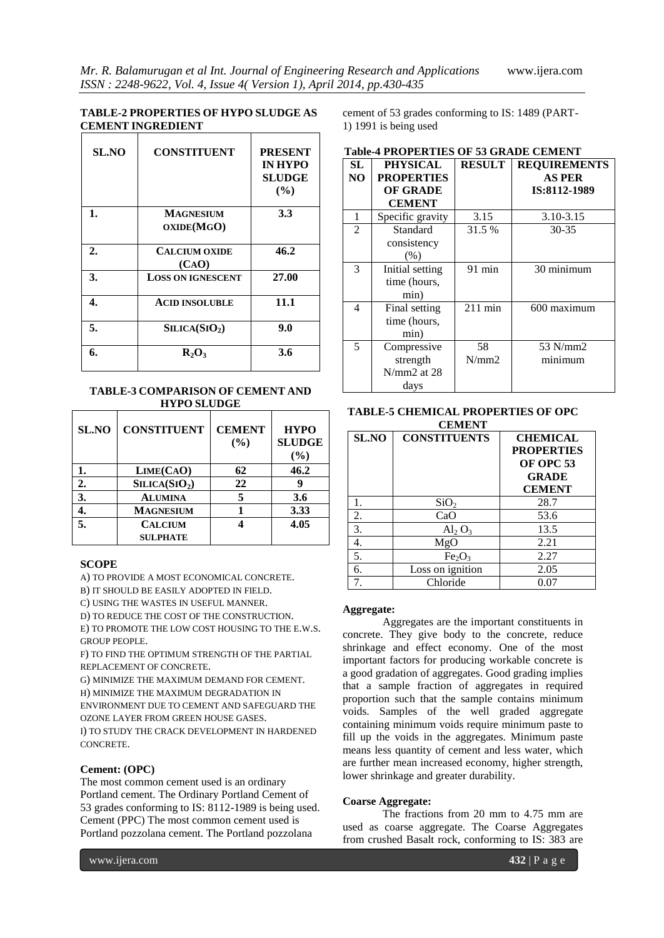#### **TABLE-2 PROPERTIES OF HYPO SLUDGE AS CEMENT INGREDIENT**

| <b>SL.NO</b>     | <b>CONSTITUENT</b>       | <b>PRESENT</b><br><b>IN HYPO</b><br><b>SLUDGE</b><br>$($ %) |
|------------------|--------------------------|-------------------------------------------------------------|
| 1.               | <b>MAGNESIUM</b>         | 3.3                                                         |
|                  | OXIDE(MGO)               |                                                             |
| $\overline{2}$ . | <b>CALCIUM OXIDE</b>     | 46.2                                                        |
|                  | (CAO)                    |                                                             |
| 3.               | <b>LOSS ON IGNESCENT</b> | 27.00                                                       |
| 4.               | <b>ACID INSOLUBLE</b>    | 11.1                                                        |
| 5.               | SLICA(SIO <sub>2</sub> ) | 9.0                                                         |
| 6.               | $R_2O_3$                 | 3.6                                                         |

#### **TABLE-3 COMPARISON OF CEMENT AND HYPO SLUDGE**

| SL.NO | <b>CONSTITUENT</b>        | <b>CEMENT</b><br>(%) | <b>HYPO</b><br><b>SLUDGE</b><br>(%) |
|-------|---------------------------|----------------------|-------------------------------------|
|       | LIME(CAO)                 | 62                   | 46.2                                |
| 2.    | SILICA(SIO <sub>2</sub> ) | 22                   | g                                   |
| 3.    | <b>ALUMINA</b>            |                      | 3.6                                 |
|       | <b>MAGNESIUM</b>          |                      | 3.33                                |
| 5.    | <b>CALCIUM</b>            |                      | 4.05                                |
|       | <b>SULPHATE</b>           |                      |                                     |

#### **SCOPE**

A) TO PROVIDE A MOST ECONOMICAL CONCRETE.

B) IT SHOULD BE EASILY ADOPTED IN FIELD.

C) USING THE WASTES IN USEFUL MANNER.

D) TO REDUCE THE COST OF THE CONSTRUCTION.

E) TO PROMOTE THE LOW COST HOUSING TO THE E.W.S. GROUP PEOPLE.

F) TO FIND THE OPTIMUM STRENGTH OF THE PARTIAL REPLACEMENT OF CONCRETE.

G) MINIMIZE THE MAXIMUM DEMAND FOR CEMENT.

H) MINIMIZE THE MAXIMUM DEGRADATION IN

ENVIRONMENT DUE TO CEMENT AND SAFEGUARD THE OZONE LAYER FROM GREEN HOUSE GASES.

I) TO STUDY THE CRACK DEVELOPMENT IN HARDENED CONCRETE.

#### **Cement: (OPC)**

The most common cement used is an ordinary Portland cement. The Ordinary Portland Cement of 53 grades conforming to IS: 8112-1989 is being used. Cement (PPC) The most common cement used is Portland pozzolana cement. The Portland pozzolana

cement of 53 grades conforming to IS: 1489 (PART-1) 1991 is being used

| <b>SL</b>      | <b>PHYSICAL</b>   | <b>RESULT</b> | <b>REQUIREMENTS</b> |  |  |
|----------------|-------------------|---------------|---------------------|--|--|
| N <sub>O</sub> | <b>PROPERTIES</b> |               | <b>AS PER</b>       |  |  |
|                | <b>OF GRADE</b>   |               | IS:8112-1989        |  |  |
|                | <b>CEMENT</b>     |               |                     |  |  |
| 1              | Specific gravity  | 3.15          | 3.10-3.15           |  |  |
| $\overline{c}$ | Standard          | 31.5 %        | $30 - 35$           |  |  |
|                | consistency       |               |                     |  |  |
|                | (% )              |               |                     |  |  |
| 3              | Initial setting   | 91 min        | 30 minimum          |  |  |
|                | time (hours,      |               |                     |  |  |
|                | min)              |               |                     |  |  |
| 4              | Final setting     | $211$ min     | 600 maximum         |  |  |
|                | time (hours,      |               |                     |  |  |
|                | min)              |               |                     |  |  |
| 5              | Compressive       | 58            | 53 N/mm2            |  |  |
|                | strength          | N/mm2         | minimum             |  |  |
|                | $N/mm2$ at 28     |               |                     |  |  |
|                | days              |               |                     |  |  |

# **Table-4 PROPERTIES OF 53 GRADE CEMENT**

#### **TABLE-5 CHEMICAL PROPERTIES OF OPC CEMENT**

| SL.NO | <b>CONSTITUENTS</b>            | <b>CHEMICAL</b><br><b>PROPERTIES</b><br><b>OF OPC 53</b><br><b>GRADE</b><br><b>CEMENT</b> |
|-------|--------------------------------|-------------------------------------------------------------------------------------------|
| 1.    | SiO <sub>2</sub>               | 28.7                                                                                      |
| 2.    | CaO                            | 53.6                                                                                      |
| 3.    | $\text{Al}_2\text{O}_3$        | 13.5                                                                                      |
| 4.    | MgO                            | 2.21                                                                                      |
| 5.    | Fe <sub>2</sub> O <sub>3</sub> | 2.27                                                                                      |
| 6.    | Loss on ignition               | 2.05                                                                                      |
|       | Chloride                       | 0.07                                                                                      |

#### **Aggregate:**

Aggregates are the important constituents in concrete. They give body to the concrete, reduce shrinkage and effect economy. One of the most important factors for producing workable concrete is a good gradation of aggregates. Good grading implies that a sample fraction of aggregates in required proportion such that the sample contains minimum voids. Samples of the well graded aggregate containing minimum voids require minimum paste to fill up the voids in the aggregates. Minimum paste means less quantity of cement and less water, which are further mean increased economy, higher strength, lower shrinkage and greater durability.

#### **Coarse Aggregate:**

The fractions from 20 mm to 4.75 mm are used as coarse aggregate. The Coarse Aggregates from crushed Basalt rock, conforming to IS: 383 are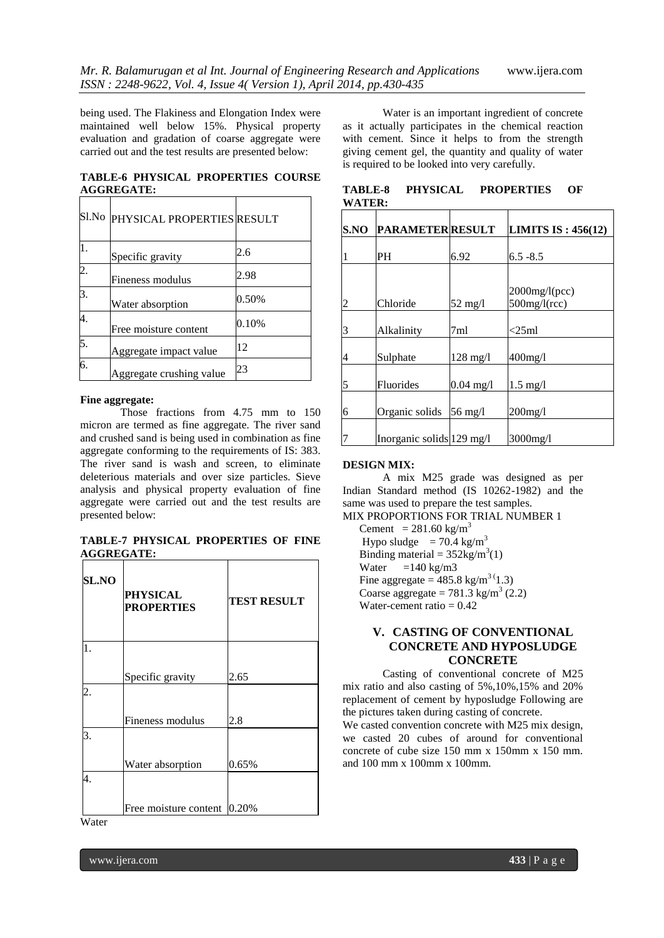being used. The Flakiness and Elongation Index were maintained well below 15%. Physical property evaluation and gradation of coarse aggregate were carried out and the test results are presented below:

**TABLE-6 PHYSICAL PROPERTIES COURSE AGGREGATE:**

|                  | SI.No PHYSICAL PROPERTIES RESULT |       |
|------------------|----------------------------------|-------|
| $\overline{1}$ . | Specific gravity                 | 2.6   |
| $\overline{2}$ . | Fineness modulus                 | 2.98  |
| 3.               | Water absorption                 | 0.50% |
| 4.               | Free moisture content            | 0.10% |
| 5.               | Aggregate impact value           | 12    |
| 6.               | Aggregate crushing value         | 23    |

#### **Fine aggregate:**

Those fractions from 4.75 mm to 150 micron are termed as fine aggregate. The river sand and crushed sand is being used in combination as fine aggregate conforming to the requirements of IS: 383. The river sand is wash and screen, to eliminate deleterious materials and over size particles. Sieve analysis and physical property evaluation of fine aggregate were carried out and the test results are presented below:

**TABLE-7 PHYSICAL PROPERTIES OF FINE AGGREGATE:**

| <b>SL.NO</b> | <b>PHYSICAL</b><br><b>PROPERTIES</b> | <b>TEST RESULT</b> |
|--------------|--------------------------------------|--------------------|
| 1.           |                                      |                    |
|              | Specific gravity                     | 2.65               |
| 2.           |                                      |                    |
|              | Fineness modulus                     | 2.8                |
| 3.           |                                      |                    |
|              | Water absorption                     | 0.65%              |
| 4.           |                                      |                    |
|              | Free moisture content                | 0.20%              |

Water

Water is an important ingredient of concrete as it actually participates in the chemical reaction with cement. Since it helps to from the strength giving cement gel, the quantity and quality of water is required to be looked into very carefully.

**TABLE-8 PHYSICAL PROPERTIES OF WATER:**

| S.NO | <b>PARAMETER RESULT</b>             |                    | LIMITS IS: $456(12)$                |
|------|-------------------------------------|--------------------|-------------------------------------|
|      | PH                                  | 6.92               | $6.5 - 8.5$                         |
|      |                                     |                    |                                     |
| 2    | Chloride                            | $52 \text{ mg/l}$  | $2000$ mg/l(pcc)<br>$500$ mg/l(rcc) |
| 3    | Alkalinity                          | 7ml                | $<$ 25ml                            |
| 4    | Sulphate                            | $128 \text{ mg}/1$ | $400$ mg/l                          |
| 5    | Fluorides                           | $0.04$ mg/l        | $1.5 \text{ mg}/l$                  |
| 6    | Organic solids                      | 56 mg/l            | $200$ mg/l                          |
|      | Inorganic solids $129 \text{ mg/l}$ |                    | 3000mg/l                            |

#### **DESIGN MIX:**

A mix M25 grade was designed as per Indian Standard method (IS 10262-1982) and the same was used to prepare the test samples. MIX PROPORTIONS FOR TRIAL NUMBER 1

Cement =  $281.60$  kg/m<sup>3</sup> Hypo sludge =  $70.4 \text{ kg/m}^3$ Binding material =  $352\text{kg/m}^3(1)$ Water  $=140 \text{ kg/m}$ 3 Fine aggregate =  $485.8 \text{ kg/m}^{3}(1.3)$ Coarse aggregate =  $781.3$  kg/m<sup>3</sup> (2.2) Water-cement ratio  $= 0.42$ 

# **V. CASTING OF CONVENTIONAL CONCRETE AND HYPOSLUDGE CONCRETE**

Casting of conventional concrete of M25 mix ratio and also casting of 5%,10%,15% and 20% replacement of cement by hyposludge Following are the pictures taken during casting of concrete.

We casted convention concrete with M25 mix design, we casted 20 cubes of around for conventional concrete of cube size 150 mm x 150mm x 150 mm. and 100 mm x 100mm x 100mm.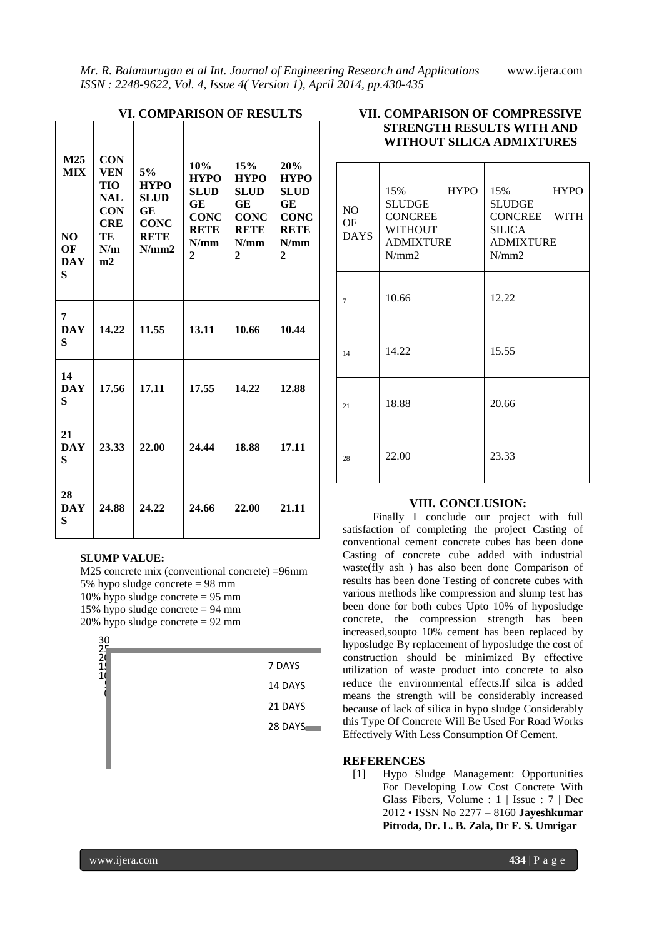| <b>VI. COMPARISON OF RESULTS</b>                      |                                                                                              |                                                                               |                                                                                                 |                                                                                               |                                                                                               |
|-------------------------------------------------------|----------------------------------------------------------------------------------------------|-------------------------------------------------------------------------------|-------------------------------------------------------------------------------------------------|-----------------------------------------------------------------------------------------------|-----------------------------------------------------------------------------------------------|
| M <sub>25</sub><br><b>MIX</b><br>NO<br>OF<br>DAY<br>S | <b>CON</b><br><b>VEN</b><br>TIO<br><b>NAL</b><br><b>CON</b><br><b>CRE</b><br>TE<br>N/m<br>m2 | 5%<br><b>HYPO</b><br><b>SLUD</b><br>GE<br><b>CONC</b><br><b>RETE</b><br>N/mm2 | 10%<br><b>HYPO</b><br><b>SLUD</b><br>GE<br><b>CONC</b><br><b>RETE</b><br>N/mm<br>$\overline{c}$ | 15%<br><b>HYPO</b><br><b>SLUD</b><br>GE<br><b>CONC</b><br><b>RETE</b><br>N/mm<br>$\mathbf{2}$ | 20%<br><b>HYPO</b><br><b>SLUD</b><br>GE<br><b>CONC</b><br><b>RETE</b><br>N/mm<br>$\mathbf{2}$ |
| 7<br><b>DAY</b><br>S                                  | 14.22                                                                                        | 11.55                                                                         | 13.11                                                                                           | 10.66                                                                                         | 10.44                                                                                         |
| 14<br><b>DAY</b><br>S                                 | 17.56                                                                                        | 17.11                                                                         | 17.55                                                                                           | 14.22                                                                                         | 12.88                                                                                         |
| 21<br><b>DAY</b><br>S                                 | 23.33                                                                                        | 22.00                                                                         | 24.44                                                                                           | 18.88                                                                                         | 17.11                                                                                         |
| 28<br><b>DAY</b><br>S                                 | 24.88                                                                                        | 24.22                                                                         | 24.66                                                                                           | 22.00                                                                                         | 21.11                                                                                         |

# **SLUMP VALUE:**

M25 concrete mix (conventional concrete) =96mm 5% hypo sludge concrete = 98 mm 10% hypo sludge concrete = 95 mm 15% hypo sludge concrete  $= 94$  mm 20% hypo sludge concrete = 92 mm



# **VII. COMPARISON OF COMPRESSIVE STRENGTH RESULTS WITH AND WITHOUT SILICA ADMIXTURES**

| NO<br>OF<br><b>DAYS</b> | 15% HYPO<br><b>SLUDGE</b><br><b>CONCREE</b><br><b>WITHOUT</b><br><b>ADMIXTURE</b><br>N/mm2 | 15% HYPO<br>SLUDGE<br>CONCREE WITH<br>SILICA<br><b>ADMIXTURE</b><br>N/mm2 |
|-------------------------|--------------------------------------------------------------------------------------------|---------------------------------------------------------------------------|
| $\overline{7}$          | 10.66                                                                                      | 12.22                                                                     |
| 14                      | 14.22                                                                                      | 15.55                                                                     |
| 21                      | 18.88                                                                                      | 20.66                                                                     |
| 28                      | 22.00                                                                                      | 23.33                                                                     |

## **VIII. CONCLUSION:**

Finally I conclude our project with full satisfaction of completing the project Casting of conventional cement concrete cubes has been done Casting of concrete cube added with industrial waste(fly ash ) has also been done Comparison of results has been done Testing of concrete cubes with various methods like compression and slump test has been done for both cubes Upto 10% of hyposludge concrete, the compression strength has been increased,soupto 10% cement has been replaced by hyposludge By replacement of hyposludge the cost of construction should be minimized By effective utilization of waste product into concrete to also reduce the environmental effects.If silca is added means the strength will be considerably increased because of lack of silica in hypo sludge Considerably this Type Of Concrete Will Be Used For Road Works Effectively With Less Consumption Of Cement.

#### **REFERENCES**

[1] Hypo Sludge Management: Opportunities For Developing Low Cost Concrete With Glass Fibers, Volume : 1 | Issue : 7 | Dec 2012 • ISSN No 2277 – 8160 **Jayeshkumar Pitroda, Dr. L. B. Zala, Dr F. S. Umrigar**